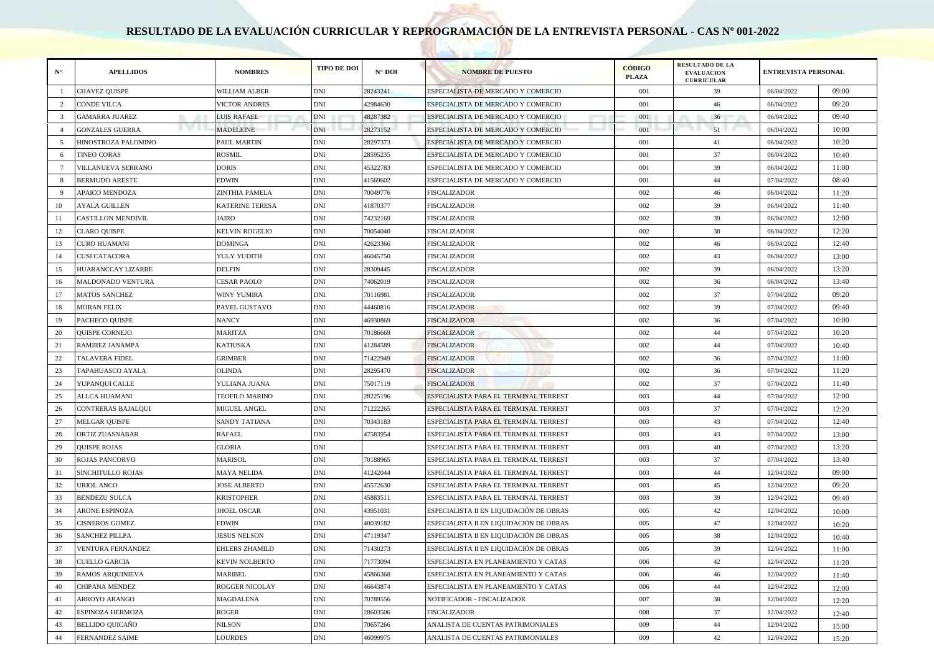## **RESULTADO DE LA EVALUACIÓN CURRICULAR Y REPROGRAMACIÓN DE LA ENTREVISTA PERSONAL - CAS Nº 001-2022**

| $N^{\circ}$     | <b>APELLIDOS</b>            | <b>NOMBRES</b>        | <b>TIPO DE DOI</b> | $N^{\circ}$ DOI | <b>NOMBRE DE PUESTO</b>                 | <b>CÓDIGO</b><br><b>PLAZA</b> | <b>RESULTADO DE LA</b><br><b>EVALUACION</b><br><b>CURRICULAR</b> | <b>ENTREVISTA PERSONAL</b> |       |
|-----------------|-----------------------------|-----------------------|--------------------|-----------------|-----------------------------------------|-------------------------------|------------------------------------------------------------------|----------------------------|-------|
| -1              | CHAVEZ QUISPE               | WILLIAM ALBER         | <b>DNI</b>         | 28243241        | ESPECIALISTA DE MERCADO Y COMERCIO      | 001                           | 39                                                               | 06/04/2022                 | 09:00 |
| 2               | CONDE VILCA                 | <b>VICTOR ANDRES</b>  | <b>DNI</b>         | 42984630        | ESPECIALISTA DE MERCADO Y COMERCIO      | 001                           | 46                                                               | 06/04/2022                 | 09:20 |
| 3               | GAMARRA JUAREZ              | LUIS RAFAEL           | DNI                | 48287382        | ESPECIALISTA DE MERCADO Y COMERCIO      | 001                           | 36<br>n<br>m.                                                    | 06/04/2022                 | 09:40 |
| $\overline{4}$  | .<br><b>GONZALES GUERRA</b> | <b>MADELEINE</b>      | <b>DNI</b>         | 28273152        | ESPECIALISTA DE MERCADO Y COMERCIO      | 001                           | 51                                                               | 06/04/2022                 | 10:00 |
| 5               | HINOSTROZA PALOMINO         | PAUL MARTIN           | <b>DNI</b>         | 28297373        | ESPECIALISTA DE MERCADO Y COMERCIO      | 001                           | 41                                                               | 06/04/2022                 | 10:20 |
| 6               | TINEO CORAS                 | ROSMIL                | <b>DNI</b>         | 28595235        | ESPECIALISTA DE MERCADO Y COMERCIO      | 001                           | 37                                                               | 06/04/2022                 | 10:40 |
| $7\phantom{.0}$ | VILLANUEVA SERRANO          | DORIS                 | <b>DNI</b>         | 45322783        | ESPECIALISTA DE MERCADO Y COMERCIO      | 001                           | 39                                                               | 06/04/2022                 | 11:00 |
| -8              | <b>BERMUDO ARESTE</b>       | EDWIN                 | DNI                | 41569602        | ESPECIALISTA DE MERCADO Y COMERCIO      | 001                           | 44                                                               | 07/04/2022                 | 08:40 |
| - 9             | APAICO MENDOZA              | ZINTHIA PAMELA        | <b>DNI</b>         | 70049776        | <b>FISCALIZADOR</b>                     | 002                           | 46                                                               | 06/04/2022                 | 11:20 |
| 10              | AYALA GUILLEN               | KATERINE TERESA       | <b>DNI</b>         | 41870377        | <b>FISCALIZADOR</b>                     | 002                           | 39                                                               | 06/04/2022                 | 11:40 |
| 11              | CASTILLON MENDIVIL          | JAIRO                 | <b>DNI</b>         | 74232169        | <b>FISCALIZADOR</b>                     | 002                           | 39                                                               | 06/04/2022                 | 12:00 |
| 12              | <b>CLARO QUISPE</b>         | KELVIN ROGELIO        | <b>DNI</b>         | 70054040        | <b>FISCALIZADOR</b>                     | 002                           | 38                                                               | 06/04/2022                 | 12:20 |
| 13              | CURO HUAMANI                | DOMINGA               | <b>DNI</b>         | 42623366        | <b>FISCALIZADOR</b>                     | 002                           | 46                                                               | 06/04/2022                 | 12:40 |
| 14              | CUSI CATACORA               | YULY YUDITH           | <b>DNI</b>         | 46045750        | <b>FISCALIZADOR</b>                     | 002                           | 43                                                               | 06/04/2022                 | 13:00 |
| 15              | HUARANCCAY LIZARBE          | DELFIN                | <b>DNI</b>         | 28309445        | <b>FISCALIZADOR</b>                     | 002                           | 39                                                               | 06/04/2022                 | 13:20 |
| 16              | MALDONADO VENTURA           | CESAR PAOLO           | DNI                | 74062019        | FISCALIZADOR                            | 002                           | 36                                                               | 06/04/2022                 | 13:40 |
| 17              | MATOS SANCHEZ               | WINY YUMIRA           | DNI                | 70116981        | FISCALIZADOR                            | 002                           | 37                                                               | 07/04/2022                 | 09:20 |
| 18              | <b>MORAN FELIX</b>          | PAVEL GUSTAVO         | $\mathbf{DNI}$     | 44460816        | <b>FISCALIZADOR</b>                     | 002                           | 39                                                               | 07/04/2022                 | 09:40 |
| 19              | PACHECO QUISPE              | NANCY                 | DNI                | 46930869        | <b>FISCALIZADOR</b>                     | 002                           | 36                                                               | 07/04/2022                 | 10:00 |
| 20              | <b>QUISPE CORNEJO</b>       | MARITZA               | <b>DNI</b>         | 70186669        | <b>FISCALIZADOR</b>                     | 002                           | 44                                                               | 07/04/2022                 | 10:20 |
| 21              | RAMIREZ JANAMPA             | KATIUSKA              | <b>DNI</b>         | 41284589        | <b>FISCALIZADOR</b>                     | 002                           | 44                                                               | 07/04/2022                 | 10:40 |
| 22              | TALAVERA FIDEL              | GRIMBER               | <b>DNI</b>         | 71422949        | <b>FISCALIZADOR</b>                     | 002                           | 36                                                               | 07/04/2022                 | 11:00 |
| 23              | TAPAHUASCO AYALA            | OLINDA                | <b>DNI</b>         | 28295470        | <b>FISCALIZADOR</b>                     | 002                           | 36                                                               | 07/04/2022                 | 11:20 |
| 24              | YUPANQUI CALLE              | YULIANA JUANA         | <b>DNI</b>         | 75017119        | <b>FISCALIZADOR</b>                     | 002                           | 37                                                               | 07/04/2022                 | 11:40 |
| 25              | ALLCA HUAMANI               | <b>TEOFILO MARINO</b> | DNI                | 28225196        | ESPECIALISTA PARA EL TERMINAL TERREST   | 003                           | 44                                                               | 07/04/2022                 | 12:00 |
| 26              | CONTRERAS BAJALQUI          | MIGUEL ANGEL          | <b>DNI</b>         | 71222265        | ESPECIALISTA PARA EL TERMINAL TERREST   | 003                           | 37                                                               | 07/04/2022                 | 12:20 |
| 27              | MELGAR QUISPE               | SANDY TATIANA         | <b>DNI</b>         | 70343183        | ESPECIALISTA PARA EL TERMINAL TERREST   | 003                           | 43                                                               | 07/04/2022                 | 12:40 |
| 28              | ORTIZ ZUASNABAR             | RAFAEL                | <b>DNI</b>         | 47583954        | ESPECIALISTA PARA EL TERMINAL TERREST   | 003                           | 43                                                               | 07/04/2022                 | 13:00 |
| 29              | <b>QUISPE ROJAS</b>         | GLORIA                | $\mathbf{DNI}$     |                 | ESPECIALISTA PARA EL TERMINAL TERREST   | 003                           | 40                                                               | 07/04/2022                 | 13:20 |
| 30              | ROJAS PANCORVO              | MARISOL               | DNI                | 70188965        | ESPECIALISTA PARA EL TERMINAL TERREST   | 003                           | 37                                                               | 07/04/2022                 | 13:40 |
| 31              | SINCHITULLO ROJAS           | MAYA NELIDA           | <b>DNI</b>         | 41242044        | ESPECIALISTA PARA EL TERMINAL TERREST   | 003                           | 44                                                               | 12/04/2022                 | 09:00 |
| 32              | <b>URIOL ANCO</b>           | <b>JOSE ALBERTO</b>   | <b>DNI</b>         | 45572630        | ESPECIALISTA PARA EL TERMINAL TERREST   | 003                           | 45                                                               | 12/04/2022                 | 09:20 |
| 33              | BENDEZU SULCA               | KRISTOPHER            | <b>DNI</b>         | 45883511        | ESPECIALISTA PARA EL TERMINAL TERREST   | 003                           | 39                                                               | 12/04/2022                 | 09:40 |
| 34              | ARONE ESPINOZA              | <b>HOEL OSCAR</b>     | <b>DNI</b>         | 43951031        | ESPECIALISTA II EN LIQUIDACIÓN DE OBRAS | 005                           | 42                                                               | 12/04/2022                 | 10:00 |
| 35              | <b>CISNEROS GOMEZ</b>       | EDWIN                 | <b>DNI</b>         | 40039182        | ESPECIALISTA II EN LIQUIDACIÓN DE OBRAS | 005                           | 47                                                               | 12/04/2022                 | 10:20 |
| 36              | <b>SANCHEZ PILLPA</b>       | <b>JESUS NELSON</b>   | <b>DNI</b>         | 47119347        | ESPECIALISTA II EN LIQUIDACIÓN DE OBRAS | 005                           | 38                                                               | 12/04/2022                 | 10:40 |
| 37              | <b>VENTURA FERNANDEZ</b>    | EHLERS ZHAMILD        | <b>DNI</b>         | 71430273        | ESPECIALISTA II EN LIQUIDACIÓN DE OBRAS | 005                           | 39                                                               | 12/04/2022                 | 11:00 |
| 38              | <b>CUELLO GARCIA</b>        | KEVIN NOLBERTO        | <b>DNI</b>         | 71773094        | ESPECIALISTA EN PLANEAMIENTO Y CATAS    | 006                           | 42                                                               | 12/04/2022                 | 11:20 |
| 39              | RAMOS ARQUINIEVA            | MARIBEL               | <b>DNI</b>         | 45866368        | ESPECIALISTA EN PLANEAMIENTO Y CATAS    | 006                           | 46                                                               | 12/04/2022                 | 11:40 |
| 40              | CHIPANA MENDEZ              | ROGGER NICOLAY        | DNI                | 46643874        | ESPECIALISTA EN PLANEAMIENTO Y CATAS    | 006                           | 44                                                               | 12/04/2022                 | 12:00 |
| 41              | ARROYO ARANGO               | MAGDALENA             | $\mathbf{DNI}$     | 70789556        | NOTIFICADOR - FISCALIZADOR              | 007                           | 38                                                               | 12/04/2022                 | 12:20 |
| 42              | ESPINOZA HERMOZA            | ROGER                 | DNI                | 28603506        | <b>FISCALIZADOR</b>                     | 008                           | 37                                                               | 12/04/2022                 | 12:40 |
| 43              | <b>BELLIDO QUICAÑO</b>      | NILSON                | DNI                | 70657266        | ANALISTA DE CUENTAS PATRIMONIALES       | 009                           | 44                                                               | 12/04/2022                 | 15:00 |
| 44              | <b>FERNANDEZ SAIME</b>      | LOURDES               | DNI                | 46099975        | ANALISTA DE CUENTAS PATRIMONIALES       | 009                           | 42                                                               | 12/04/2022                 | 15:20 |